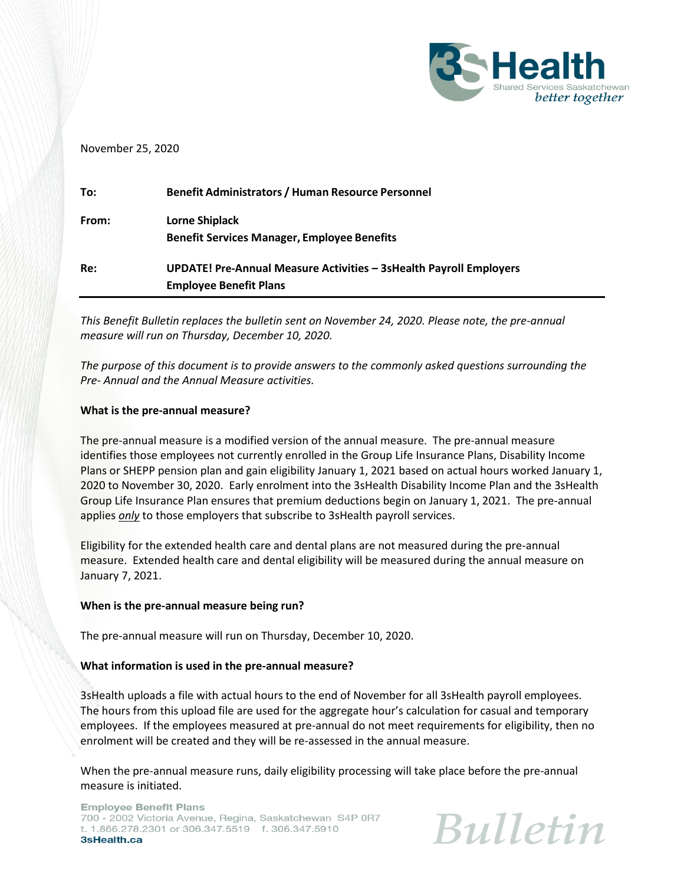

### November 25, 2020

| To:   | <b>Benefit Administrators / Human Resource Personnel</b>           |
|-------|--------------------------------------------------------------------|
| From: | Lorne Shiplack                                                     |
|       | <b>Benefit Services Manager, Employee Benefits</b>                 |
| Re:   | UPDATE! Pre-Annual Measure Activities - 3sHealth Payroll Employers |
|       | <b>Employee Benefit Plans</b>                                      |

*This Benefit Bulletin replaces the bulletin sent on November 24, 2020. Please note, the pre-annual measure will run on Thursday, December 10, 2020.*

*The purpose of this document is to provide answers to the commonly asked questions surrounding the Pre- Annual and the Annual Measure activities.*

#### **What is the pre-annual measure?**

The pre-annual measure is a modified version of the annual measure. The pre-annual measure identifies those employees not currently enrolled in the Group Life Insurance Plans, Disability Income Plans or SHEPP pension plan and gain eligibility January 1, 2021 based on actual hours worked January 1, 2020 to November 30, 2020. Early enrolment into the 3sHealth Disability Income Plan and the 3sHealth Group Life Insurance Plan ensures that premium deductions begin on January 1, 2021. The pre-annual applies *only* to those employers that subscribe to 3sHealth payroll services.

Eligibility for the extended health care and dental plans are not measured during the pre-annual measure. Extended health care and dental eligibility will be measured during the annual measure on January 7, 2021.

### **When is the pre-annual measure being run?**

The pre-annual measure will run on Thursday, December 10, 2020.

### **What information is used in the pre-annual measure?**

3sHealth uploads a file with actual hours to the end of November for all 3sHealth payroll employees. The hours from this upload file are used for the aggregate hour's calculation for casual and temporary employees. If the employees measured at pre-annual do not meet requirements for eligibility, then no enrolment will be created and they will be re-assessed in the annual measure.

When the pre-annual measure runs, daily eligibility processing will take place before the pre-annual measure is initiated.

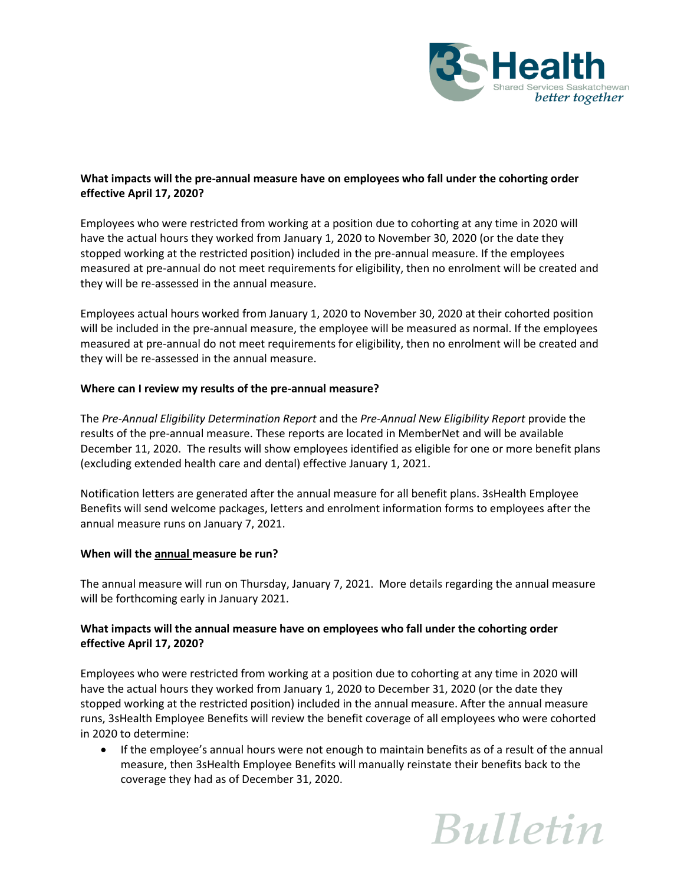

# **What impacts will the pre-annual measure have on employees who fall under the cohorting order effective April 17, 2020?**

Employees who were restricted from working at a position due to cohorting at any time in 2020 will have the actual hours they worked from January 1, 2020 to November 30, 2020 (or the date they stopped working at the restricted position) included in the pre-annual measure. If the employees measured at pre-annual do not meet requirements for eligibility, then no enrolment will be created and they will be re-assessed in the annual measure.

Employees actual hours worked from January 1, 2020 to November 30, 2020 at their cohorted position will be included in the pre-annual measure, the employee will be measured as normal. If the employees measured at pre-annual do not meet requirements for eligibility, then no enrolment will be created and they will be re-assessed in the annual measure.

## **Where can I review my results of the pre-annual measure?**

The *Pre-Annual Eligibility Determination Report* and the *Pre-Annual New Eligibility Report* provide the results of the pre-annual measure. These reports are located in MemberNet and will be available December 11, 2020. The results will show employees identified as eligible for one or more benefit plans (excluding extended health care and dental) effective January 1, 2021.

Notification letters are generated after the annual measure for all benefit plans. 3sHealth Employee Benefits will send welcome packages, letters and enrolment information forms to employees after the annual measure runs on January 7, 2021.

## **When will the annual measure be run?**

The annual measure will run on Thursday, January 7, 2021. More details regarding the annual measure will be forthcoming early in January 2021.

# **What impacts will the annual measure have on employees who fall under the cohorting order effective April 17, 2020?**

Employees who were restricted from working at a position due to cohorting at any time in 2020 will have the actual hours they worked from January 1, 2020 to December 31, 2020 (or the date they stopped working at the restricted position) included in the annual measure. After the annual measure runs, 3sHealth Employee Benefits will review the benefit coverage of all employees who were cohorted in 2020 to determine:

• If the employee's annual hours were not enough to maintain benefits as of a result of the annual measure, then 3sHealth Employee Benefits will manually reinstate their benefits back to the coverage they had as of December 31, 2020.